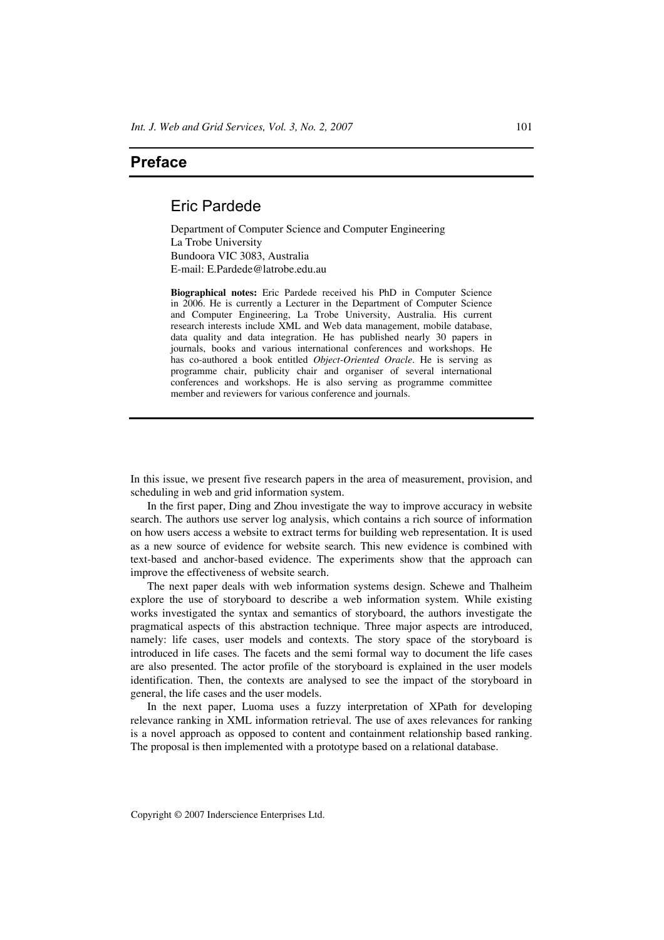## **Preface**

## Eric Pardede

Department of Computer Science and Computer Engineering La Trobe University Bundoora VIC 3083, Australia E-mail: E.Pardede@latrobe.edu.au

**Biographical notes:** Eric Pardede received his PhD in Computer Science in 2006. He is currently a Lecturer in the Department of Computer Science and Computer Engineering, La Trobe University, Australia. His current research interests include XML and Web data management, mobile database, data quality and data integration. He has published nearly 30 papers in journals, books and various international conferences and workshops. He has co-authored a book entitled *Object-Oriented Oracle*. He is serving as programme chair, publicity chair and organiser of several international conferences and workshops. He is also serving as programme committee member and reviewers for various conference and journals.

In this issue, we present five research papers in the area of measurement, provision, and scheduling in web and grid information system.

In the first paper, Ding and Zhou investigate the way to improve accuracy in website search. The authors use server log analysis, which contains a rich source of information on how users access a website to extract terms for building web representation. It is used as a new source of evidence for website search. This new evidence is combined with text-based and anchor-based evidence. The experiments show that the approach can improve the effectiveness of website search.

The next paper deals with web information systems design. Schewe and Thalheim explore the use of storyboard to describe a web information system. While existing works investigated the syntax and semantics of storyboard, the authors investigate the pragmatical aspects of this abstraction technique. Three major aspects are introduced, namely: life cases, user models and contexts. The story space of the storyboard is introduced in life cases. The facets and the semi formal way to document the life cases are also presented. The actor profile of the storyboard is explained in the user models identification. Then, the contexts are analysed to see the impact of the storyboard in general, the life cases and the user models.

In the next paper, Luoma uses a fuzzy interpretation of XPath for developing relevance ranking in XML information retrieval. The use of axes relevances for ranking is a novel approach as opposed to content and containment relationship based ranking. The proposal is then implemented with a prototype based on a relational database.